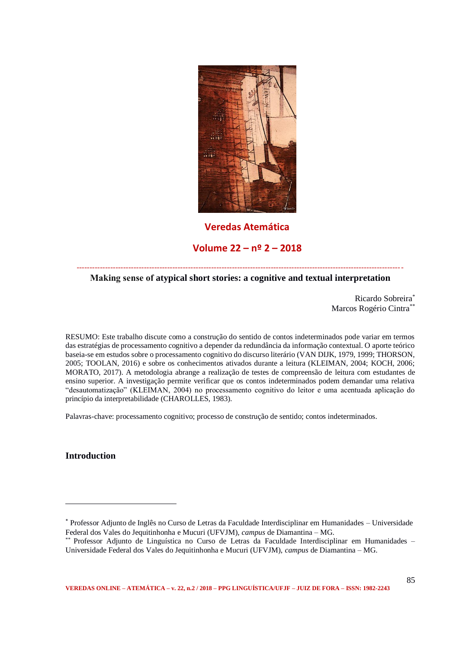

# **Veredas Atemática**

# **Volume 22 – nº 2 – 2018**

#### ------------------------------------------------------------------------------------------------------------------------------ **Making sense of atypical short stories: a cognitive and textual interpretation**

Ricardo Sobreira\* Marcos Rogério Cintra\*\*

RESUMO: Este trabalho discute como a construção do sentido de contos indeterminados pode variar em termos das estratégias de processamento cognitivo a depender da redundância da informação contextual. O aporte teórico baseia-se em estudos sobre o processamento cognitivo do discurso literário (VAN DIJK, 1979, 1999; THORSON, 2005; TOOLAN, 2016) e sobre os conhecimentos ativados durante a leitura (KLEIMAN, 2004; KOCH, 2006; MORATO, 2017). A metodologia abrange a realização de testes de compreensão de leitura com estudantes de ensino superior. A investigação permite verificar que os contos indeterminados podem demandar uma relativa "desautomatização" (KLEIMAN, 2004) no processamento cognitivo do leitor e uma acentuada aplicação do princípio da interpretabilidade (CHAROLLES, 1983).

Palavras-chave: processamento cognitivo; processo de construção de sentido; contos indeterminados.

**Introduction**

<sup>\*</sup> Professor Adjunto de Inglês no Curso de Letras da Faculdade Interdisciplinar em Humanidades – Universidade Federal dos Vales do Jequitinhonha e Mucuri (UFVJM), *campus* de Diamantina – MG.

<sup>\*\*</sup> Professor Adjunto de Linguística no Curso de Letras da Faculdade Interdisciplinar em Humanidades – Universidade Federal dos Vales do Jequitinhonha e Mucuri (UFVJM), *campus* de Diamantina – MG.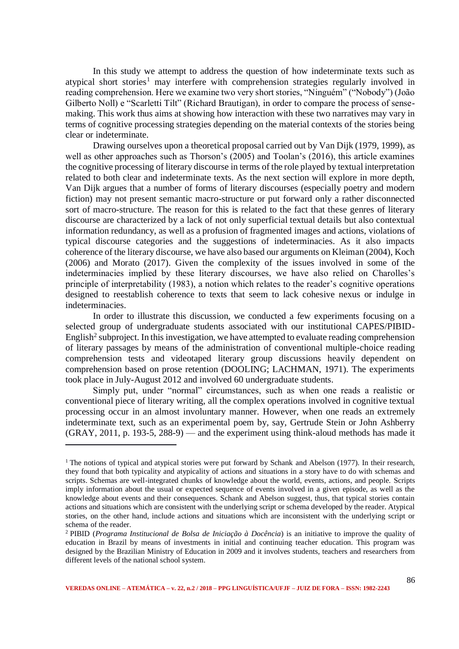In this study we attempt to address the question of how indeterminate texts such as atypical short stories<sup>1</sup> may interfere with comprehension strategies regularly involved in reading comprehension. Here we examine two very short stories, "Ninguém" ("Nobody") (João Gilberto Noll) e "Scarletti Tilt" (Richard Brautigan), in order to compare the process of sensemaking. This work thus aims at showing how interaction with these two narratives may vary in terms of cognitive processing strategies depending on the material contexts of the stories being clear or indeterminate.

Drawing ourselves upon a theoretical proposal carried out by Van Dijk (1979, 1999), as well as other approaches such as Thorson's (2005) and Toolan's (2016), this article examines the cognitive processing of literary discourse in terms of the role played by textual interpretation related to both clear and indeterminate texts. As the next section will explore in more depth, Van Dijk argues that a number of forms of literary discourses (especially poetry and modern fiction) may not present semantic macro-structure or put forward only a rather disconnected sort of macro-structure. The reason for this is related to the fact that these genres of literary discourse are characterized by a lack of not only superficial textual details but also contextual information redundancy, as well as a profusion of fragmented images and actions, violations of typical discourse categories and the suggestions of indeterminacies. As it also impacts coherence of the literary discourse, we have also based our arguments on Kleiman (2004), Koch (2006) and Morato (2017). Given the complexity of the issues involved in some of the indeterminacies implied by these literary discourses, we have also relied on Charolles's principle of interpretability (1983), a notion which relates to the reader's cognitive operations designed to reestablish coherence to texts that seem to lack cohesive nexus or indulge in indeterminacies.

In order to illustrate this discussion, we conducted a few experiments focusing on a selected group of undergraduate students associated with our institutional CAPES/PIBID-English<sup>2</sup> subproject. In this investigation, we have attempted to evaluate reading comprehension of literary passages by means of the administration of conventional multiple-choice reading comprehension tests and videotaped literary group discussions heavily dependent on comprehension based on prose retention (DOOLING; LACHMAN, 1971). The experiments took place in July-August 2012 and involved 60 undergraduate students.

Simply put, under "normal" circumstances, such as when one reads a realistic or conventional piece of literary writing, all the complex operations involved in cognitive textual processing occur in an almost involuntary manner. However, when one reads an extremely indeterminate text, such as an experimental poem by, say, Gertrude Stein or John Ashberry (GRAY, 2011, p. 193-5, 288-9) — and the experiment using think-aloud methods has made it

<sup>&</sup>lt;sup>1</sup> The notions of typical and atypical stories were put forward by Schank and Abelson (1977). In their research, they found that both typicality and atypicality of actions and situations in a story have to do with schemas and scripts. Schemas are well-integrated chunks of knowledge about the world, events, actions, and people. Scripts imply information about the usual or expected sequence of events involved in a given episode, as well as the knowledge about events and their consequences. Schank and Abelson suggest, thus, that typical stories contain actions and situations which are consistent with the underlying script or schema developed by the reader. Atypical stories, on the other hand, include actions and situations which are inconsistent with the underlying script or schema of the reader.

<sup>2</sup> PIBID (*Programa Institucional de Bolsa de Iniciação à Docência*) is an initiative to improve the quality of education in Brazil by means of investments in initial and continuing teacher education. This program was designed by the Brazilian Ministry of Education in 2009 and it involves students, teachers and researchers from different levels of the national school system.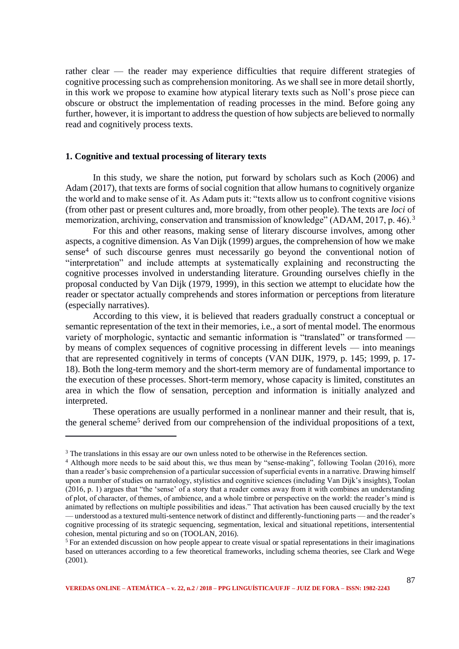rather clear — the reader may experience difficulties that require different strategies of cognitive processing such as comprehension monitoring. As we shall see in more detail shortly, in this work we propose to examine how atypical literary texts such as Noll's prose piece can obscure or obstruct the implementation of reading processes in the mind. Before going any further, however, it is important to address the question of how subjects are believed to normally read and cognitively process texts.

## **1. Cognitive and textual processing of literary texts**

In this study, we share the notion, put forward by scholars such as Koch (2006) and Adam (2017), that texts are forms of social cognition that allow humans to cognitively organize the world and to make sense of it. As Adam puts it: "texts allow us to confront cognitive visions (from other past or present cultures and, more broadly, from other people). The texts are *loci* of memorization, archiving, conservation and transmission of knowledge" (ADAM, 2017, p. 46).<sup>3</sup>

For this and other reasons, making sense of literary discourse involves, among other aspects, a cognitive dimension. As Van Dijk (1999) argues, the comprehension of how we make sense<sup>4</sup> of such discourse genres must necessarily go beyond the conventional notion of "interpretation" and include attempts at systematically explaining and reconstructing the cognitive processes involved in understanding literature. Grounding ourselves chiefly in the proposal conducted by Van Dijk (1979, 1999), in this section we attempt to elucidate how the reader or spectator actually comprehends and stores information or perceptions from literature (especially narratives).

According to this view, it is believed that readers gradually construct a conceptual or semantic representation of the text in their memories, i.e., a sort of mental model. The enormous variety of morphologic, syntactic and semantic information is "translated" or transformed by means of complex sequences of cognitive processing in different levels — into meanings that are represented cognitively in terms of concepts (VAN DIJK, 1979, p. 145; 1999, p. 17- 18). Both the long-term memory and the short-term memory are of fundamental importance to the execution of these processes. Short-term memory, whose capacity is limited, constitutes an area in which the flow of sensation, perception and information is initially analyzed and interpreted.

These operations are usually performed in a nonlinear manner and their result, that is, the general scheme<sup>5</sup> derived from our comprehension of the individual propositions of a text,

<sup>&</sup>lt;sup>3</sup> The translations in this essay are our own unless noted to be otherwise in the References section.

<sup>&</sup>lt;sup>4</sup> Although more needs to be said about this, we thus mean by "sense-making", following Toolan (2016), more than a reader's basic comprehension of a particular succession of superficial events in a narrative. Drawing himself upon a number of studies on narratology, stylistics and cognitive sciences (including Van Dijk's insights), Toolan (2016, p. 1) argues that "the 'sense' of a story that a reader comes away from it with combines an understanding of plot, of character, of themes, of ambience, and a whole timbre or perspective on the world: the reader's mind is animated by reflections on multiple possibilities and ideas." That activation has been caused crucially by the text — understood as a textured multi-sentence network of distinct and differently-functioning parts — and the reader's cognitive processing of its strategic sequencing, segmentation, lexical and situational repetitions, intersentential cohesion, mental picturing and so on (TOOLAN, 2016).

<sup>&</sup>lt;sup>5</sup> For an extended discussion on how people appear to create visual or spatial representations in their imaginations based on utterances according to a few theoretical frameworks, including schema theories, see Clark and Wege (2001).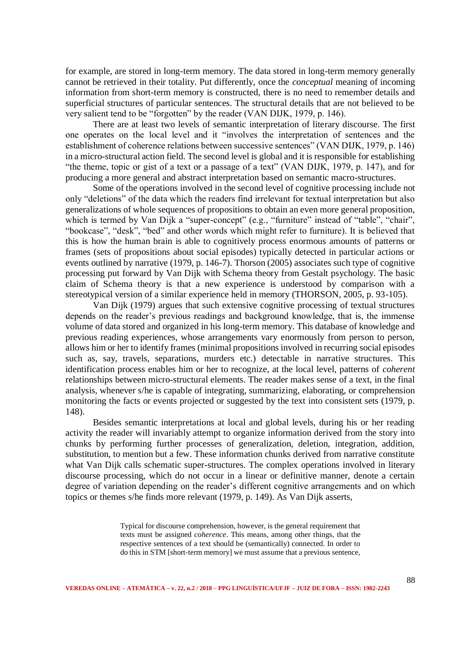for example, are stored in long-term memory. The data stored in long-term memory generally cannot be retrieved in their totality. Put differently, once the *conceptual* meaning of incoming information from short-term memory is constructed, there is no need to remember details and superficial structures of particular sentences. The structural details that are not believed to be very salient tend to be "forgotten" by the reader (VAN DIJK, 1979, p. 146).

There are at least two levels of semantic interpretation of literary discourse. The first one operates on the local level and it "involves the interpretation of sentences and the establishment of coherence relations between successive sentences" (VAN DIJK, 1979, p. 146) in a micro-structural action field. The second level is global and it is responsible for establishing "the theme, topic or gist of a text or a passage of a text" (VAN DIJK, 1979, p. 147), and for producing a more general and abstract interpretation based on semantic macro-structures.

Some of the operations involved in the second level of cognitive processing include not only "deletions" of the data which the readers find irrelevant for textual interpretation but also generalizations of whole sequences of propositions to obtain an even more general proposition, which is termed by Van Dijk a "super-concept" (e.g., "furniture" instead of "table", "chair", "bookcase", "desk", "bed" and other words which might refer to furniture). It is believed that this is how the human brain is able to cognitively process enormous amounts of patterns or frames (sets of propositions about social episodes) typically detected in particular actions or events outlined by narrative (1979, p. 146-7). Thorson (2005) associates such type of cognitive processing put forward by Van Dijk with Schema theory from Gestalt psychology. The basic claim of Schema theory is that a new experience is understood by comparison with a stereotypical version of a similar experience held in memory (THORSON, 2005, p. 93-105).

Van Dijk (1979) argues that such extensive cognitive processing of textual structures depends on the reader's previous readings and background knowledge, that is, the immense volume of data stored and organized in his long-term memory. This database of knowledge and previous reading experiences, whose arrangements vary enormously from person to person, allows him or her to identify frames (minimal propositions involved in recurring social episodes such as, say, travels, separations, murders etc.) detectable in narrative structures. This identification process enables him or her to recognize, at the local level, patterns of *coherent*  relationships between micro-structural elements. The reader makes sense of a text, in the final analysis, whenever s/he is capable of integrating, summarizing, elaborating, or comprehension monitoring the facts or events projected or suggested by the text into consistent sets (1979, p. 148).

Besides semantic interpretations at local and global levels, during his or her reading activity the reader will invariably attempt to organize information derived from the story into chunks by performing further processes of generalization, deletion, integration, addition, substitution, to mention but a few. These information chunks derived from narrative constitute what Van Dijk calls schematic super-structures. The complex operations involved in literary discourse processing, which do not occur in a linear or definitive manner, denote a certain degree of variation depending on the reader's different cognitive arrangements and on which topics or themes s/he finds more relevant (1979, p. 149). As Van Dijk asserts,

> Typical for discourse comprehension, however, is the general requirement that texts must be assigned *coherence*. This means, among other things, that the respective sentences of a text should be (semantically) connected. In order to do this in STM [short-term memory] we must assume that a previous sentence,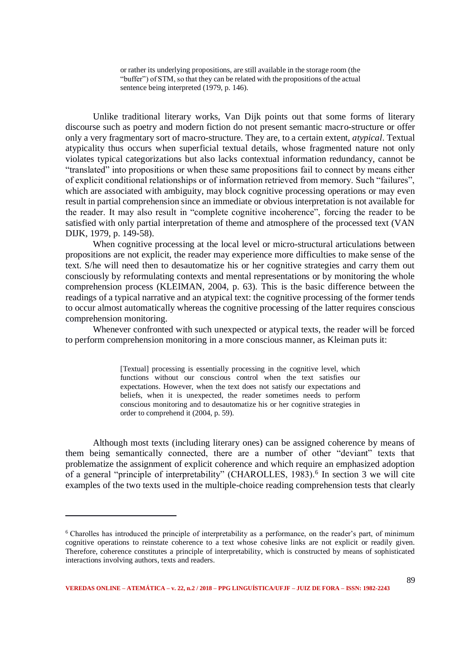or rather its underlying propositions, are still available in the storage room (the "buffer") of STM, so that they can be related with the propositions of the actual sentence being interpreted (1979, p. 146).

Unlike traditional literary works, Van Dijk points out that some forms of literary discourse such as poetry and modern fiction do not present semantic macro-structure or offer only a very fragmentary sort of macro-structure. They are, to a certain extent, *atypical*. Textual atypicality thus occurs when superficial textual details, whose fragmented nature not only violates typical categorizations but also lacks contextual information redundancy, cannot be "translated" into propositions or when these same propositions fail to connect by means either of explicit conditional relationships or of information retrieved from memory. Such "failures", which are associated with ambiguity, may block cognitive processing operations or may even result in partial comprehension since an immediate or obvious interpretation is not available for the reader. It may also result in "complete cognitive incoherence", forcing the reader to be satisfied with only partial interpretation of theme and atmosphere of the processed text (VAN DIJK, 1979, p. 149-58).

When cognitive processing at the local level or micro-structural articulations between propositions are not explicit, the reader may experience more difficulties to make sense of the text. S/he will need then to desautomatize his or her cognitive strategies and carry them out consciously by reformulating contexts and mental representations or by monitoring the whole comprehension process (KLEIMAN, 2004, p. 63). This is the basic difference between the readings of a typical narrative and an atypical text: the cognitive processing of the former tends to occur almost automatically whereas the cognitive processing of the latter requires conscious comprehension monitoring.

Whenever confronted with such unexpected or atypical texts, the reader will be forced to perform comprehension monitoring in a more conscious manner, as Kleiman puts it:

> [Textual] processing is essentially processing in the cognitive level, which functions without our conscious control when the text satisfies our expectations. However, when the text does not satisfy our expectations and beliefs, when it is unexpected, the reader sometimes needs to perform conscious monitoring and to desautomatize his or her cognitive strategies in order to comprehend it (2004, p. 59).

Although most texts (including literary ones) can be assigned coherence by means of them being semantically connected, there are a number of other "deviant" texts that problematize the assignment of explicit coherence and which require an emphasized adoption of a general "principle of interpretability" (CHAROLLES, 1983).<sup>6</sup> In section 3 we will cite examples of the two texts used in the multiple-choice reading comprehension tests that clearly

<sup>&</sup>lt;sup>6</sup> Charolles has introduced the principle of interpretability as a performance, on the reader's part, of minimum cognitive operations to reinstate coherence to a text whose cohesive links are not explicit or readily given. Therefore, coherence constitutes a principle of interpretability, which is constructed by means of sophisticated interactions involving authors, texts and readers.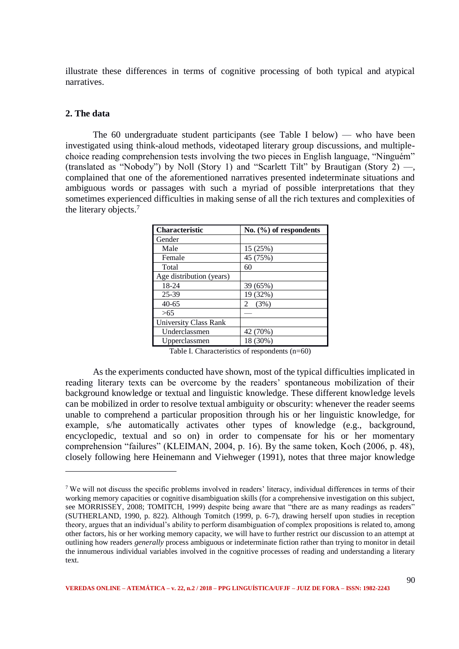illustrate these differences in terms of cognitive processing of both typical and atypical narratives.

## **2. The data**

.

The 60 undergraduate student participants (see Table I below) — who have been investigated using think-aloud methods, videotaped literary group discussions, and multiplechoice reading comprehension tests involving the two pieces in English language, "Ninguém" (translated as "Nobody") by Noll (Story 1) and "Scarlett Tilt" by Brautigan (Story 2)  $-$ , complained that one of the aforementioned narratives presented indeterminate situations and ambiguous words or passages with such a myriad of possible interpretations that they sometimes experienced difficulties in making sense of all the rich textures and complexities of the literary objects.<sup>7</sup>

| Characteristic               | No. $(\%)$ of respondents |
|------------------------------|---------------------------|
| Gender                       |                           |
| Male                         | 15 (25%)                  |
| Female                       | 45 (75%)                  |
| Total                        | 60                        |
| Age distribution (years)     |                           |
| 18-24                        | 39 (65%)                  |
| 25-39                        | 19 (32%)                  |
| $40 - 65$                    | (3%)<br>2                 |
| >65                          |                           |
| <b>University Class Rank</b> |                           |
| Underclassmen                | 42 (70%)                  |
| Upperclassmen                | 18 (30%)                  |

Table I. Characteristics of respondents (n=60)

As the experiments conducted have shown, most of the typical difficulties implicated in reading literary texts can be overcome by the readers' spontaneous mobilization of their background knowledge or textual and linguistic knowledge. These different knowledge levels can be mobilized in order to resolve textual ambiguity or obscurity: whenever the reader seems unable to comprehend a particular proposition through his or her linguistic knowledge, for example, s/he automatically activates other types of knowledge (e.g., background, encyclopedic, textual and so on) in order to compensate for his or her momentary comprehension "failures" (KLEIMAN, 2004, p. 16). By the same token, Koch (2006, p. 48), closely following here Heinemann and Viehweger (1991), notes that three major knowledge

<sup>7</sup> We will not discuss the specific problems involved in readers' literacy, individual differences in terms of their working memory capacities or cognitive disambiguation skills (for a comprehensive investigation on this subject, see MORRISSEY, 2008; TOMITCH, 1999) despite being aware that "there are as many readings as readers" (SUTHERLAND, 1990, p. 822). Although Tomitch (1999, p. 6-7), drawing herself upon studies in reception theory, argues that an individual's ability to perform disambiguation of complex propositions is related to, among other factors, his or her working memory capacity, we will have to further restrict our discussion to an attempt at outlining how readers *generally* process ambiguous or indeterminate fiction rather than trying to monitor in detail the innumerous individual variables involved in the cognitive processes of reading and understanding a literary text.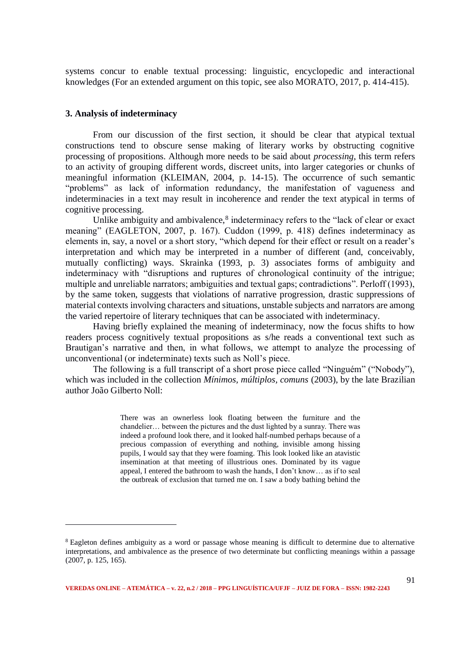systems concur to enable textual processing: linguistic, encyclopedic and interactional knowledges (For an extended argument on this topic, see also MORATO, 2017, p. 414-415).

## **3. Analysis of indeterminacy**

.

From our discussion of the first section, it should be clear that atypical textual constructions tend to obscure sense making of literary works by obstructing cognitive processing of propositions. Although more needs to be said about *processing*, this term refers to an activity of grouping different words, discreet units, into larger categories or chunks of meaningful information (KLEIMAN, 2004, p. 14-15). The occurrence of such semantic "problems" as lack of information redundancy, the manifestation of vagueness and indeterminacies in a text may result in incoherence and render the text atypical in terms of cognitive processing.

Unlike ambiguity and ambivalence,<sup>8</sup> indeterminacy refers to the "lack of clear or exact meaning" (EAGLETON, 2007, p. 167). Cuddon (1999, p. 418) defines indeterminacy as elements in, say, a novel or a short story, "which depend for their effect or result on a reader's interpretation and which may be interpreted in a number of different (and, conceivably, mutually conflicting) ways. Skrainka (1993, p. 3) associates forms of ambiguity and indeterminacy with "disruptions and ruptures of chronological continuity of the intrigue; multiple and unreliable narrators; ambiguities and textual gaps; contradictions". Perloff (1993), by the same token, suggests that violations of narrative progression, drastic suppressions of material contexts involving characters and situations, unstable subjects and narrators are among the varied repertoire of literary techniques that can be associated with indeterminacy.

Having briefly explained the meaning of indeterminacy, now the focus shifts to how readers process cognitively textual propositions as s/he reads a conventional text such as Brautigan's narrative and then, in what follows, we attempt to analyze the processing of unconventional (or indeterminate) texts such as Noll's piece.

The following is a full transcript of a short prose piece called "Ninguém" ("Nobody"), which was included in the collection *Mínimos, múltiplos, comuns* (2003), by the late Brazilian author João Gilberto Noll:

> There was an ownerless look floating between the furniture and the chandelier… between the pictures and the dust lighted by a sunray. There was indeed a profound look there, and it looked half-numbed perhaps because of a precious compassion of everything and nothing, invisible among hissing pupils, I would say that they were foaming. This look looked like an atavistic insemination at that meeting of illustrious ones. Dominated by its vague appeal, I entered the bathroom to wash the hands, I don't know… as if to seal the outbreak of exclusion that turned me on. I saw a body bathing behind the

<sup>&</sup>lt;sup>8</sup> Eagleton defines ambiguity as a word or passage whose meaning is difficult to determine due to alternative interpretations, and ambivalence as the presence of two determinate but conflicting meanings within a passage (2007, p. 125, 165).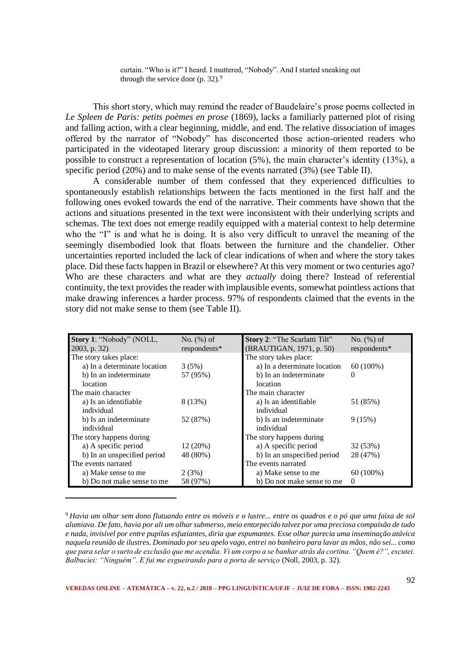curtain. "Who is it?" I heard. I muttered, "Nobody". And I started sneaking out through the service door (p. 32).<sup>9</sup>

This short story, which may remind the reader of Baudelaire's prose poems collected in *Le Spleen de Paris: petits poèmes en prose* (1869), lacks a familiarly patterned plot of rising and falling action, with a clear beginning, middle, and end. The relative dissociation of images offered by the narrator of "Nobody" has disconcerted those action-oriented readers who participated in the videotaped literary group discussion: a minority of them reported to be possible to construct a representation of location (5%), the main character's identity (13%), a specific period (20%) and to make sense of the events narrated (3%) (see Table II).

A considerable number of them confessed that they experienced difficulties to spontaneously establish relationships between the facts mentioned in the first half and the following ones evoked towards the end of the narrative. Their comments have shown that the actions and situations presented in the text were inconsistent with their underlying scripts and schemas. The text does not emerge readily equipped with a material context to help determine who the "I" is and what he is doing. It is also very difficult to unravel the meaning of the seemingly disembodied look that floats between the furniture and the chandelier. Other uncertainties reported included the lack of clear indications of when and where the story takes place. Did these facts happen in Brazil or elsewhere? At this very moment or two centuries ago? Who are these characters and what are they *actually* doing there? Instead of referential continuity, the text provides the reader with implausible events, somewhat pointless actions that make drawing inferences a harder process. 97% of respondents claimed that the events in the story did not make sense to them (see Table II).

| Story 1: "Nobody" (NOLL,     | No. $(\%)$ of | Story 2: "The Scarlatti Tilt" | No. $(\%)$ of |
|------------------------------|---------------|-------------------------------|---------------|
| $2003$ , p. 32)              | respondents*  | (BRAUTIGAN, 1971, p. 50)      | respondents*  |
| The story takes place:       |               | The story takes place:        |               |
| a) In a determinate location | 3(5%)         | a) In a determinate location  | $60(100\%)$   |
| b) In an indeterminate       | 57 (95%)      | b) In an indeterminate        | $\theta$      |
| location                     |               | location                      |               |
| The main character           |               | The main character            |               |
| a) Is an identifiable        | 8 (13%)       | a) Is an identifiable         | 51 (85%)      |
| individual                   |               | individual                    |               |
| b) Is an indeterminate       | 52 (87%)      | b) Is an indeterminate        | 9(15%)        |
| individual                   |               | individual                    |               |
| The story happens during     |               | The story happens during      |               |
| a) A specific period         | 12(20%)       | a) A specific period          | 32 (53%)      |
| b) In an unspecified period  | 48 (80%)      | b) In an unspecified period   | 28 (47%)      |
| The events narrated          |               | The events narrated           |               |
| a) Make sense to me          | 2(3%)         | a) Make sense to me           | $60(100\%)$   |
| b) Do not make sense to me   | 58 (97%)      | b) Do not make sense to me    | $\Omega$      |

<sup>9</sup> *Havia um olhar sem dono flutuando entre os móveis e o lustre... entre os quadros e o pó que uma faixa de sol alumiava. De fato, havia por ali um olhar submerso, meio entorpecido talvez por uma preciosa compaixão de tudo e nada, invisível por entre pupilas esfuziantes, diria que espumantes. Esse olhar parecia uma inseminação atávica naquela reunião de ilustres. Dominado por seu apelo vago, entrei no banheiro para lavar as mãos, não sei... como que para selar o surto de exclusão que me acendia. Vi um corpo a se banhar atrás da cortina. "Quem é?", escutei. Balbuciei: "Ninguém". E fui me esgueirando para a porta de serviço* (Noll, 2003, p. 32).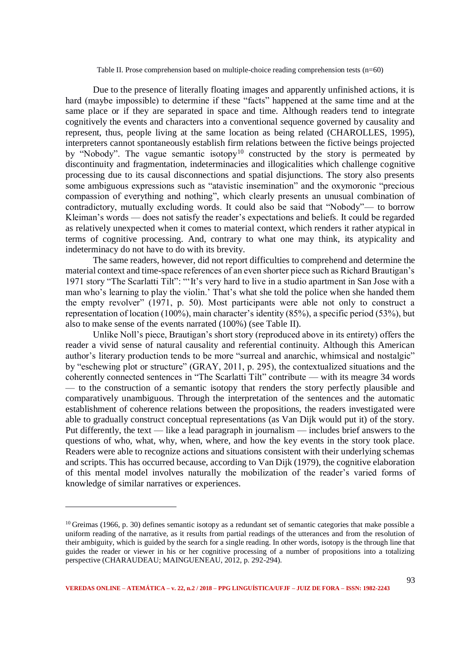Table II. Prose comprehension based on multiple-choice reading comprehension tests (n=60)

Due to the presence of literally floating images and apparently unfinished actions, it is hard (maybe impossible) to determine if these "facts" happened at the same time and at the same place or if they are separated in space and time. Although readers tend to integrate cognitively the events and characters into a conventional sequence governed by causality and represent, thus, people living at the same location as being related (CHAROLLES, 1995), interpreters cannot spontaneously establish firm relations between the fictive beings projected by "Nobody". The vague semantic isotopy<sup>10</sup> constructed by the story is permeated by discontinuity and fragmentation, indeterminacies and illogicalities which challenge cognitive processing due to its causal disconnections and spatial disjunctions. The story also presents some ambiguous expressions such as "atavistic insemination" and the oxymoronic "precious compassion of everything and nothing", which clearly presents an unusual combination of contradictory, mutually excluding words. It could also be said that "Nobody"— to borrow Kleiman's words — does not satisfy the reader's expectations and beliefs. It could be regarded as relatively unexpected when it comes to material context, which renders it rather atypical in terms of cognitive processing. And, contrary to what one may think, its atypicality and indeterminacy do not have to do with its brevity.

The same readers, however, did not report difficulties to comprehend and determine the material context and time-space references of an even shorter piece such as Richard Brautigan's 1971 story "The Scarlatti Tilt": "'It's very hard to live in a studio apartment in San Jose with a man who's learning to play the violin.' That's what she told the police when she handed them the empty revolver" (1971, p. 50). Most participants were able not only to construct a representation of location (100%), main character's identity (85%), a specific period (53%), but also to make sense of the events narrated (100%) (see Table II).

Unlike Noll's piece, Brautigan's short story (reproduced above in its entirety) offers the reader a vivid sense of natural causality and referential continuity. Although this American author's literary production tends to be more "surreal and anarchic, whimsical and nostalgic" by "eschewing plot or structure" (GRAY, 2011, p. 295), the contextualized situations and the coherently connected sentences in "The Scarlatti Tilt" contribute — with its meagre 34 words — to the construction of a semantic isotopy that renders the story perfectly plausible and comparatively unambiguous. Through the interpretation of the sentences and the automatic establishment of coherence relations between the propositions, the readers investigated were able to gradually construct conceptual representations (as Van Dijk would put it) of the story. Put differently, the text — like a lead paragraph in journalism — includes brief answers to the questions of who, what, why, when, where, and how the key events in the story took place. Readers were able to recognize actions and situations consistent with their underlying schemas and scripts. This has occurred because, according to Van Dijk (1979), the cognitive elaboration of this mental model involves naturally the mobilization of the reader's varied forms of knowledge of similar narratives or experiences.

 $10$  Greimas (1966, p. 30) defines semantic isotopy as a redundant set of semantic categories that make possible a uniform reading of the narrative, as it results from partial readings of the utterances and from the resolution of their ambiguity, which is guided by the search for a single reading. In other words, isotopy is the through line that guides the reader or viewer in his or her cognitive processing of a number of propositions into a totalizing perspective (CHARAUDEAU; MAINGUENEAU, 2012, p. 292-294).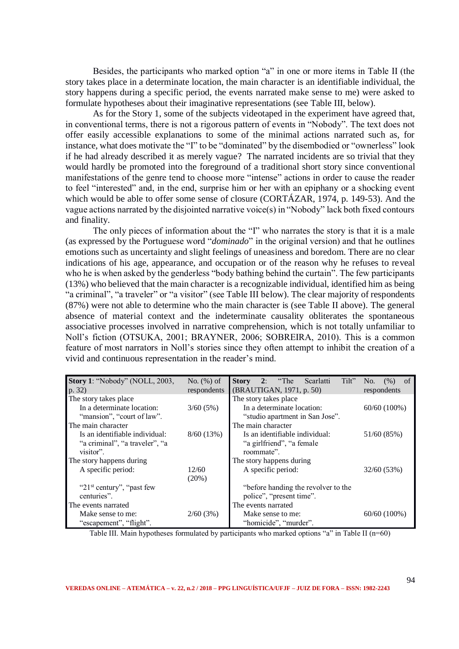Besides, the participants who marked option "a" in one or more items in Table II (the story takes place in a determinate location, the main character is an identifiable individual, the story happens during a specific period, the events narrated make sense to me) were asked to formulate hypotheses about their imaginative representations (see Table III, below).

As for the Story 1, some of the subjects videotaped in the experiment have agreed that, in conventional terms, there is not a rigorous pattern of events in "Nobody". The text does not offer easily accessible explanations to some of the minimal actions narrated such as, for instance, what does motivate the "I" to be "dominated" by the disembodied or "ownerless" look if he had already described it as merely vague? The narrated incidents are so trivial that they would hardly be promoted into the foreground of a traditional short story since conventional manifestations of the genre tend to choose more "intense" actions in order to cause the reader to feel "interested" and, in the end, surprise him or her with an epiphany or a shocking event which would be able to offer some sense of closure (CORTÁZAR, 1974, p. 149-53). And the vague actions narrated by the disjointed narrative voice(s) in "Nobody" lack both fixed contours and finality.

The only pieces of information about the "I" who narrates the story is that it is a male (as expressed by the Portuguese word "*dominado*" in the original version) and that he outlines emotions such as uncertainty and slight feelings of uneasiness and boredom. There are no clear indications of his age, appearance, and occupation or of the reason why he refuses to reveal who he is when asked by the genderless "body bathing behind the curtain". The few participants (13%) who believed that the main character is a recognizable individual, identified him as being "a criminal", "a traveler" or "a visitor" (see Table III below). The clear majority of respondents (87%) were not able to determine who the main character is (see Table II above). The general absence of material context and the indeterminate causality obliterates the spontaneous associative processes involved in narrative comprehension, which is not totally unfamiliar to Noll's fiction (OTSUKA, 2001; BRAYNER, 2006; SOBREIRA, 2010). This is a common feature of most narrators in Noll's stories since they often attempt to inhibit the creation of a vivid and continuous representation in the reader's mind.

| <b>Story 1: "Nobody" (NOLL, 2003,</b>       | No. $(\%)$ of | Tilt"<br>2: "The Scarlatti<br><sub>of</sub><br><b>Story</b><br>(% )<br>No. |
|---------------------------------------------|---------------|----------------------------------------------------------------------------|
| p. 32)                                      | respondents   | (BRAUTIGAN, 1971, p. 50)<br>respondents                                    |
| The story takes place                       |               | The story takes place                                                      |
| In a determinate location:                  | 3/60(5%)      | In a determinate location:<br>$60/60(100\%)$                               |
| "mansion", "court of law".                  |               | "studio apartment in San Jose".                                            |
| The main character                          |               | The main character                                                         |
| Is an identifiable individual:              | 8/60(13%)     | Is an identifiable individual:<br>51/60 (85%)                              |
| "a criminal", "a traveler", "a<br>visitor". |               | "a girlfriend", "a female"<br>roommate".                                   |
| The story happens during                    |               | The story happens during                                                   |
| A specific period:                          | 12/60         | A specific period:<br>32/60 (53%)                                          |
|                                             | $(20\%)$      |                                                                            |
| " $21st$ century", "past few"               |               | "before handing the revolver to the                                        |
| centuries".                                 |               | police", "present time".                                                   |
| The events narrated                         |               | The events narrated                                                        |
| Make sense to me:                           | 2/60(3%)      | Make sense to me:<br>$60/60(100\%)$                                        |
| "escapement", "flight".                     |               | "homicide", "murder".                                                      |

Table III. Main hypotheses formulated by participants who marked options "a" in Table II (n=60)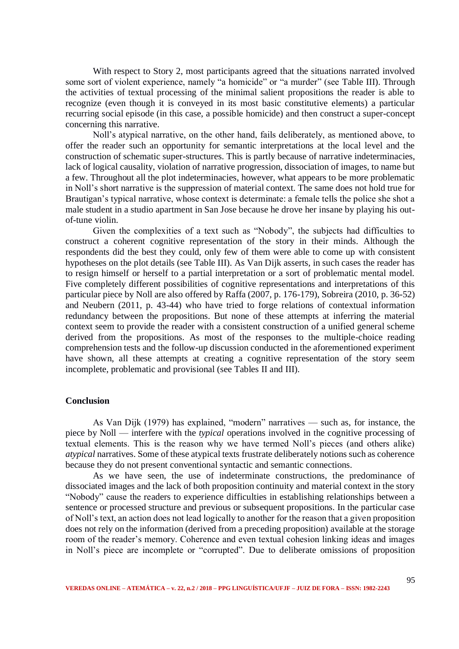With respect to Story 2, most participants agreed that the situations narrated involved some sort of violent experience, namely "a homicide" or "a murder" (see Table III). Through the activities of textual processing of the minimal salient propositions the reader is able to recognize (even though it is conveyed in its most basic constitutive elements) a particular recurring social episode (in this case, a possible homicide) and then construct a super-concept concerning this narrative.

Noll's atypical narrative, on the other hand, fails deliberately, as mentioned above, to offer the reader such an opportunity for semantic interpretations at the local level and the construction of schematic super-structures. This is partly because of narrative indeterminacies, lack of logical causality, violation of narrative progression, dissociation of images, to name but a few. Throughout all the plot indeterminacies, however, what appears to be more problematic in Noll's short narrative is the suppression of material context. The same does not hold true for Brautigan's typical narrative, whose context is determinate: a female tells the police she shot a male student in a studio apartment in San Jose because he drove her insane by playing his outof-tune violin.

Given the complexities of a text such as "Nobody", the subjects had difficulties to construct a coherent cognitive representation of the story in their minds. Although the respondents did the best they could, only few of them were able to come up with consistent hypotheses on the plot details (see Table III). As Van Dijk asserts, in such cases the reader has to resign himself or herself to a partial interpretation or a sort of problematic mental model. Five completely different possibilities of cognitive representations and interpretations of this particular piece by Noll are also offered by Raffa (2007, p. 176-179), Sobreira (2010, p. 36-52) and Neubern (2011, p. 43-44) who have tried to forge relations of contextual information redundancy between the propositions. But none of these attempts at inferring the material context seem to provide the reader with a consistent construction of a unified general scheme derived from the propositions. As most of the responses to the multiple-choice reading comprehension tests and the follow-up discussion conducted in the aforementioned experiment have shown, all these attempts at creating a cognitive representation of the story seem incomplete, problematic and provisional (see Tables II and III).

### **Conclusion**

As Van Dijk (1979) has explained, "modern" narratives — such as, for instance, the piece by Noll — interfere with the *typical* operations involved in the cognitive processing of textual elements. This is the reason why we have termed Noll's pieces (and others alike) *atypical* narratives. Some of these atypical texts frustrate deliberately notions such as coherence because they do not present conventional syntactic and semantic connections.

As we have seen, the use of indeterminate constructions, the predominance of dissociated images and the lack of both proposition continuity and material context in the story "Nobody" cause the readers to experience difficulties in establishing relationships between a sentence or processed structure and previous or subsequent propositions. In the particular case of Noll's text, an action does not lead logically to another for the reason that a given proposition does not rely on the information (derived from a preceding proposition) available at the storage room of the reader's memory. Coherence and even textual cohesion linking ideas and images in Noll's piece are incomplete or "corrupted". Due to deliberate omissions of proposition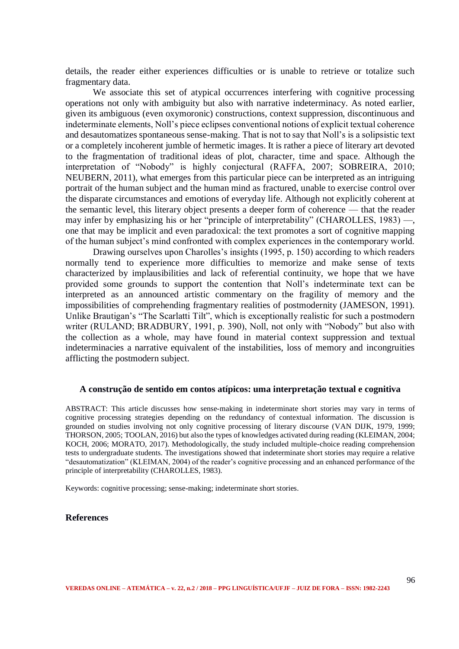details, the reader either experiences difficulties or is unable to retrieve or totalize such fragmentary data.

We associate this set of atypical occurrences interfering with cognitive processing operations not only with ambiguity but also with narrative indeterminacy. As noted earlier, given its ambiguous (even oxymoronic) constructions, context suppression, discontinuous and indeterminate elements, Noll's piece eclipses conventional notions of explicit textual coherence and desautomatizes spontaneous sense-making. That is not to say that Noll's is a solipsistic text or a completely incoherent jumble of hermetic images. It is rather a piece of literary art devoted to the fragmentation of traditional ideas of plot, character, time and space. Although the interpretation of "Nobody" is highly conjectural (RAFFA, 2007; SOBREIRA, 2010; NEUBERN, 2011), what emerges from this particular piece can be interpreted as an intriguing portrait of the human subject and the human mind as fractured, unable to exercise control over the disparate circumstances and emotions of everyday life. Although not explicitly coherent at the semantic level, this literary object presents a deeper form of coherence — that the reader may infer by emphasizing his or her "principle of interpretability" (CHAROLLES, 1983) —, one that may be implicit and even paradoxical: the text promotes a sort of cognitive mapping of the human subject's mind confronted with complex experiences in the contemporary world.

Drawing ourselves upon Charolles's insights (1995, p. 150) according to which readers normally tend to experience more difficulties to memorize and make sense of texts characterized by implausibilities and lack of referential continuity, we hope that we have provided some grounds to support the contention that Noll's indeterminate text can be interpreted as an announced artistic commentary on the fragility of memory and the impossibilities of comprehending fragmentary realities of postmodernity (JAMESON, 1991). Unlike Brautigan's "The Scarlatti Tilt", which is exceptionally realistic for such a postmodern writer (RULAND: BRADBURY, 1991, p. 390), Noll, not only with "Nobody" but also with the collection as a whole, may have found in material context suppression and textual indeterminacies a narrative equivalent of the instabilities, loss of memory and incongruities afflicting the postmodern subject.

#### **A construção de sentido em contos atípicos: uma interpretação textual e cognitiva**

ABSTRACT: This article discusses how sense-making in indeterminate short stories may vary in terms of cognitive processing strategies depending on the redundancy of contextual information. The discussion is grounded on studies involving not only cognitive processing of literary discourse (VAN DIJK, 1979, 1999; THORSON, 2005; TOOLAN, 2016) but also the types of knowledges activated during reading (KLEIMAN, 2004; KOCH, 2006; MORATO, 2017). Methodologically, the study included multiple-choice reading comprehension tests to undergraduate students. The investigations showed that indeterminate short stories may require a relative "desautomatization" (KLEIMAN, 2004) of the reader's cognitive processing and an enhanced performance of the principle of interpretability (CHAROLLES, 1983).

Keywords: cognitive processing; sense-making; indeterminate short stories.

#### **References**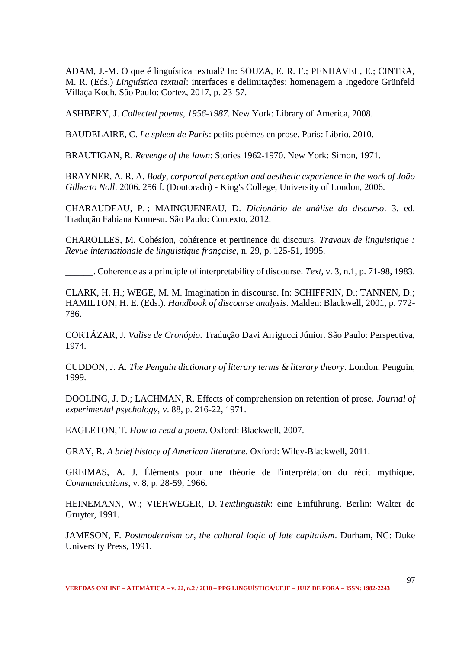ADAM, J.-M. O que é linguística textual? In: SOUZA, E. R. F.; PENHAVEL, E.; CINTRA, M. R. (Eds.) *Linguística textual*: interfaces e delimitações: homenagem a Ingedore Grünfeld Villaça Koch. São Paulo: Cortez, 2017, p. 23-57.

ASHBERY, J. *Collected poems, 1956-1987*. New York: Library of America, 2008.

BAUDELAIRE, C. *Le spleen de Paris*: petits poèmes en prose. Paris: Librio, 2010.

BRAUTIGAN, R. *Revenge of the lawn*: Stories 1962-1970. New York: Simon, 1971.

BRAYNER, A. R. A. *Body, corporeal perception and aesthetic experience in the work of João Gilberto Noll*. 2006. 256 f. (Doutorado) - King's College, University of London, 2006.

CHARAUDEAU, P. ; MAINGUENEAU, D. *Dicionário de análise do discurso*. 3. ed. Tradução Fabiana Komesu. São Paulo: Contexto, 2012.

CHAROLLES, M. Cohésion, cohérence et pertinence du discours. *Travaux de linguistique : Revue internationale de linguistique française*, n. 29, p. 125-51, 1995.

\_\_\_\_\_\_. Coherence as a principle of interpretability of discourse. *Text*, v. 3, n.1, p. 71-98, 1983.

CLARK, H. H.; WEGE, M. M. Imagination in discourse. In: SCHIFFRIN, D.; TANNEN, D.; HAMILTON, H. E. (Eds.). *Handbook of discourse analysis*. Malden: Blackwell, 2001, p. 772- 786.

CORTÁZAR, J. *Valise de Cronópio*. Tradução Davi Arrigucci Júnior. São Paulo: Perspectiva, 1974.

CUDDON, J. A. *The Penguin dictionary of literary terms & literary theory*. London: Penguin, 1999.

DOOLING, J. D.; LACHMAN, R. Effects of comprehension on retention of prose. *Journal of experimental psychology*, v. 88, p. 216-22, 1971.

EAGLETON, T. *How to read a poem*. Oxford: Blackwell, 2007.

GRAY, R. *A brief history of American literature*. Oxford: Wiley-Blackwell, 2011.

GREIMAS, A. J. Éléments pour une théorie de l'interprétation du récit mythique. *Communications*, v. 8, p. 28-59, 1966.

HEINEMANN, W.; VIEHWEGER, D. *Textlinguistik*: eine Einführung. Berlin: Walter de Gruyter, 1991.

JAMESON, F. *Postmodernism or, the cultural logic of late capitalism*. Durham, NC: Duke University Press, 1991.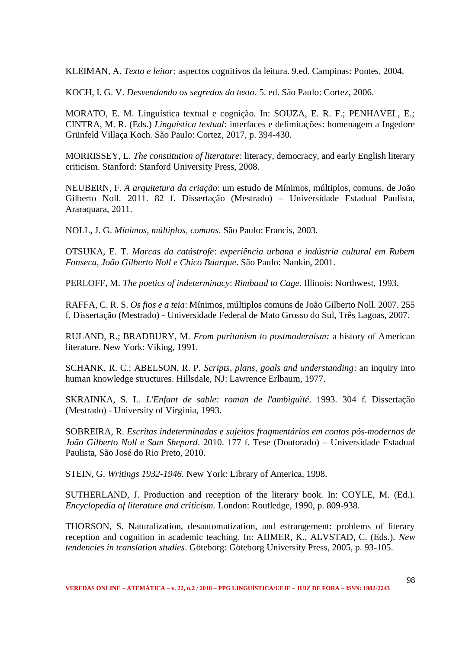KLEIMAN, A. *Texto e leitor*: aspectos cognitivos da leitura. 9.ed. Campinas: Pontes, 2004.

KOCH, I. G. V. *Desvendando os segredos do texto*. 5. ed. São Paulo: Cortez, 2006.

MORATO, E. M. Linguística textual e cognição. In: SOUZA, E. R. F.; PENHAVEL, E.; CINTRA, M. R. (Eds.) *Linguística textual*: interfaces e delimitações: homenagem a Ingedore Grünfeld Villaça Koch. São Paulo: Cortez, 2017, p. 394-430.

MORRISSEY, L. *The constitution of literature*: literacy, democracy, and early English literary criticism. Stanford: Stanford University Press, 2008.

NEUBERN, F. *A arquitetura da criação*: um estudo de Mínimos, múltiplos, comuns, de João Gilberto Noll. 2011. 82 f. Dissertação (Mestrado) – Universidade Estadual Paulista, Araraquara, 2011.

NOLL, J. G. *Mínimos, múltiplos, comuns*. São Paulo: Francis, 2003.

OTSUKA, E. T. *Marcas da catástrofe*: *experiência urbana e indústria cultural em Rubem Fonseca, João Gilberto Noll e Chico Buarque*. São Paulo: Nankin, 2001.

PERLOFF, M. *The poetics of indeterminacy*: *Rimbaud to Cage*. Illinois: Northwest, 1993.

RAFFA, C. R. S. *Os fios e a teia*: Mínimos, múltiplos comuns de João Gilberto Noll. 2007. 255 f. Dissertação (Mestrado) - Universidade Federal de Mato Grosso do Sul, Três Lagoas, 2007.

RULAND, R.; BRADBURY, M. *From puritanism to postmodernism:* a history of American literature. New York: Viking, 1991.

SCHANK, R. C.; ABELSON, R. P. *Scripts, plans, goals and understanding*: an inquiry into human knowledge structures. Hillsdale, NJ: Lawrence Erlbaum, 1977.

SKRAINKA, S. L. *L'Enfant de sable: roman de l'ambiguïté*. 1993. 304 f. Dissertação (Mestrado) - University of Virginia, 1993.

SOBREIRA, R. *Escritas indeterminadas e sujeitos fragmentários em contos pós-modernos de João Gilberto Noll e Sam Shepard*. 2010. 177 f. Tese (Doutorado) – Universidade Estadual Paulista, São José do Rio Preto, 2010.

STEIN, G. *Writings 1932-1946.* New York: Library of America, 1998.

SUTHERLAND, J. Production and reception of the literary book. In: COYLE, M. (Ed.). *Encyclopedia of literature and criticism.* London: Routledge, 1990, p. 809-938.

THORSON, S. Naturalization, desautomatization, and estrangement: problems of literary reception and cognition in academic teaching. In: AIJMER, K., ALVSTAD, C. (Eds.). *New tendencies in translation studies*. Göteborg: Göteborg University Press, 2005, p. 93-105.